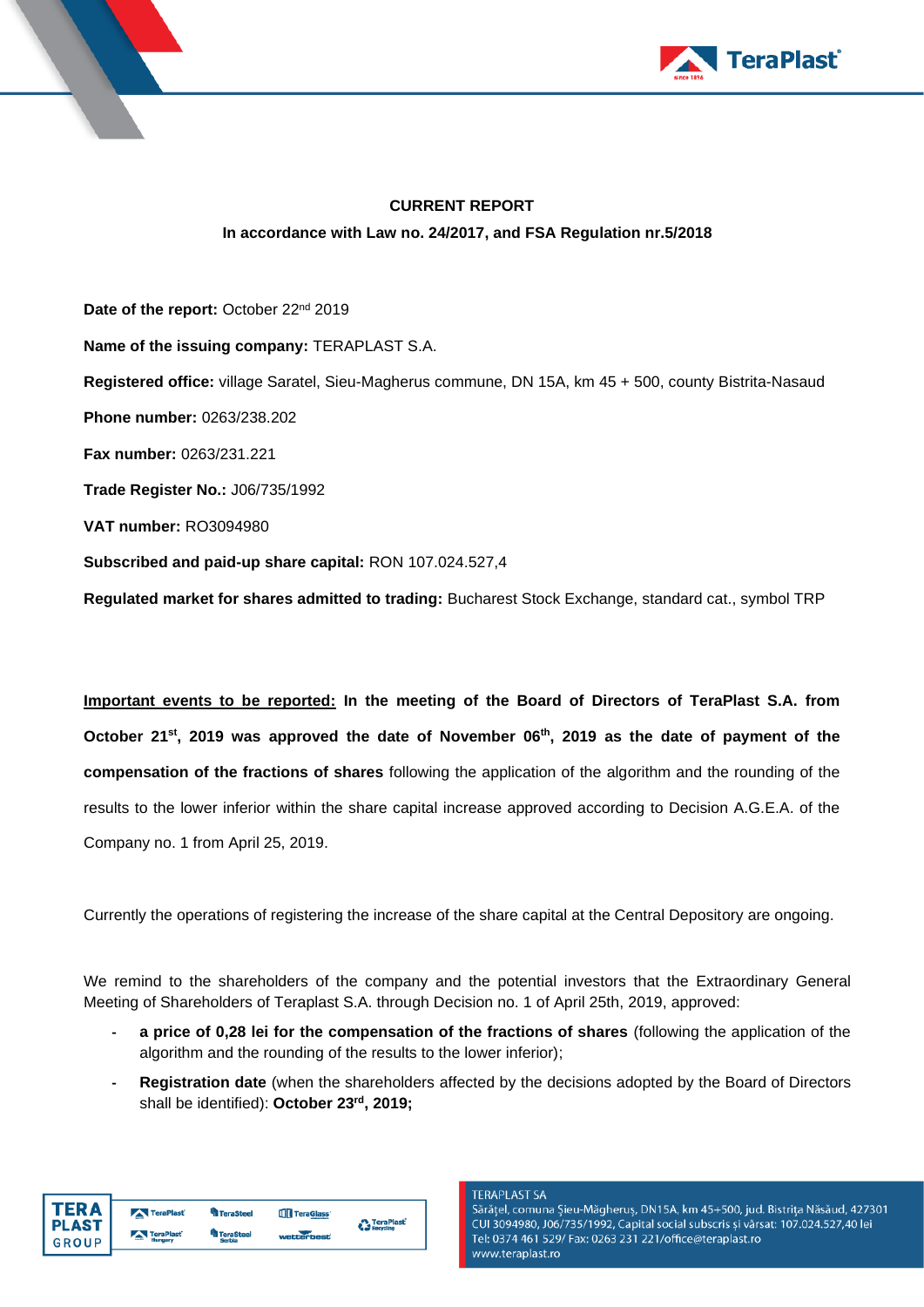



## **CURRENT REPORT In accordance with Law no. 24/2017, and FSA Regulation nr.5/2018**

Date of the report: October 22<sup>nd</sup> 2019 **Name of the issuing company:** TERAPLAST S.A. **Registered office:** village Saratel, Sieu-Magherus commune, DN 15A, km 45 + 500, county Bistrita-Nasaud **Phone number:** 0263/238.202 **Fax number:** 0263/231.221 **Trade Register No.:** J06/735/1992 **VAT number:** RO3094980 **Subscribed and paid-up share capital:** RON 107.024.527,4

**Regulated market for shares admitted to trading:** Bucharest Stock Exchange, standard cat., symbol TRP

**Important events to be reported: In the meeting of the Board of Directors of TeraPlast S.A. from October 21 st, 2019 was approved the date of November 06th, 2019 as the date of payment of the compensation of the fractions of shares** following the application of the algorithm and the rounding of the results to the lower inferior within the share capital increase approved according to Decision A.G.E.A. of the Company no. 1 from April 25, 2019.

Currently the operations of registering the increase of the share capital at the Central Depository are ongoing.

We remind to the shareholders of the company and the potential investors that the Extraordinary General Meeting of Shareholders of Teraplast S.A. through Decision no. 1 of April 25th, 2019, approved:

- **- a price of 0,28 lei for the compensation of the fractions of shares** (following the application of the algorithm and the rounding of the results to the lower inferior);
- **- Registration date** (when the shareholders affected by the decisions adopted by the Board of Directors shall be identified): **October 23rd , 2019;**

| TER A                        | TeraPlast                         | <b>TeraSteel</b>           | TeraGlass' | <b>P</b> TeraPlast |
|------------------------------|-----------------------------------|----------------------------|------------|--------------------|
| <b>PLAST</b><br><b>GROUP</b> | TeraPlast <sup>®</sup><br>Hungary | <b>TeraSteel</b><br>Serbia | webberheet | <b>Recycling</b>   |

**TERAPLAST SA** 

Sărățel, comuna Șieu-Măgheruș, DN15A, km 45+500, jud. Bistrița Năsăud, 427301 CUI 3094980, J06/735/1992, Capital social subscris și vărsat: 107.024.527,40 lei Tel: 0374 461 529/ Fax: 0263 231 221/office@teraplast.ro www.teraplast.ro